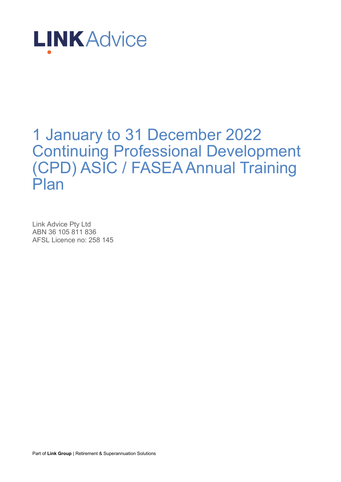

## 1 January to 31 December 2022 Continuing Professional Development (CPD) ASIC / FASEA Annual Training Plan

Link Advice Pty Ltd ABN 36 105 811 836 AFSL Licence no: 258 145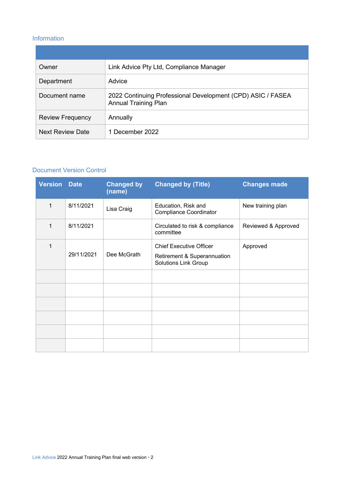#### Information

| Owner                   | Link Advice Pty Ltd, Compliance Manager                                                    |
|-------------------------|--------------------------------------------------------------------------------------------|
| Department              | Advice                                                                                     |
| Document name           | 2022 Continuing Professional Development (CPD) ASIC / FASEA<br><b>Annual Training Plan</b> |
| <b>Review Frequency</b> | Annually                                                                                   |
| <b>Next Review Date</b> | 1 December 2022                                                                            |

#### Document Version Control

| <b>Version</b> | <b>Date</b> | <b>Changed by</b><br>(name) | <b>Changed by (Title)</b>                                                                    | <b>Changes made</b> |
|----------------|-------------|-----------------------------|----------------------------------------------------------------------------------------------|---------------------|
| 1              | 8/11/2021   | Lisa Craig                  | Education, Risk and<br><b>Compliance Coordinator</b>                                         | New training plan   |
| 1              | 8/11/2021   |                             | Circulated to risk & compliance<br>committee                                                 | Reviewed & Approved |
| 1              | 29/11/2021  | Dee McGrath                 | <b>Chief Executive Officer</b><br>Retirement & Superannuation<br><b>Solutions Link Group</b> | Approved            |
|                |             |                             |                                                                                              |                     |
|                |             |                             |                                                                                              |                     |
|                |             |                             |                                                                                              |                     |
|                |             |                             |                                                                                              |                     |
|                |             |                             |                                                                                              |                     |
|                |             |                             |                                                                                              |                     |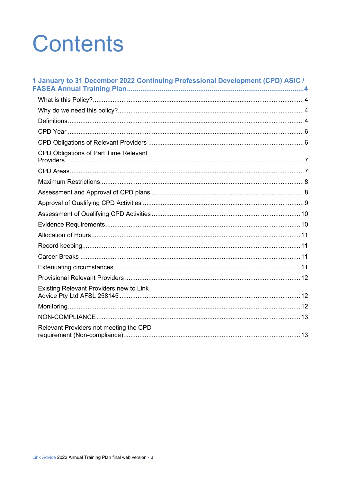# **Contents**

| 1 January to 31 December 2022 Continuing Professional Development (CPD) ASIC / |
|--------------------------------------------------------------------------------|
|                                                                                |
|                                                                                |
|                                                                                |
|                                                                                |
|                                                                                |
|                                                                                |
| CPD Obligations of Part Time Relevant                                          |
|                                                                                |
|                                                                                |
|                                                                                |
|                                                                                |
|                                                                                |
|                                                                                |
|                                                                                |
|                                                                                |
|                                                                                |
|                                                                                |
|                                                                                |
| Existing Relevant Providers new to Link                                        |
|                                                                                |
|                                                                                |
| Relevant Providers not meeting the CPD                                         |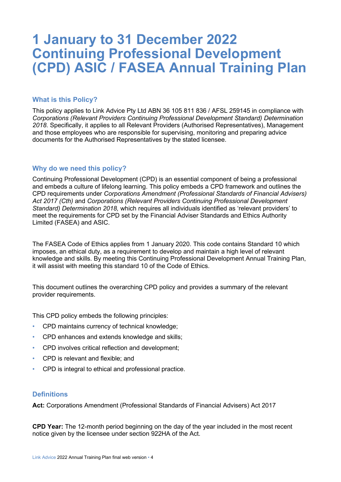### **1 January to 31 December 2022 Continuing Professional Development (CPD) ASIC / FASEA Annual Training Plan**

#### **What is this Policy?**

This policy applies to Link Advice Pty Ltd ABN 36 105 811 836 / AFSL 259145 in compliance with *Corporations (Relevant Providers Continuing Professional Development Standard) Determination 2018*. Specifically, it applies to all Relevant Providers (Authorised Representatives), Management and those employees who are responsible for supervising, monitoring and preparing advice documents for the Authorised Representatives by the stated licensee.

#### **Why do we need this policy?**

Continuing Professional Development (CPD) is an essential component of being a professional and embeds a culture of lifelong learning. This policy embeds a CPD framework and outlines the CPD requirements under *Corporations Amendment (Professional Standards of Financial Advisers) Act 2017 (Cth)* and *Corporations (Relevant Providers Continuing Professional Development Standard) Determination 2018,* which requires all individuals identified as 'relevant providers' to meet the requirements for CPD set by the Financial Adviser Standards and Ethics Authority Limited (FASEA) and ASIC.

The FASEA Code of Ethics applies from 1 January 2020. This code contains Standard 10 which imposes, an ethical duty, as a requirement to develop and maintain a high level of relevant knowledge and skills. By meeting this Continuing Professional Development Annual Training Plan, it will assist with meeting this standard 10 of the Code of Ethics.

This document outlines the overarching CPD policy and provides a summary of the relevant provider requirements.

This CPD policy embeds the following principles:

- CPD maintains currency of technical knowledge;
- CPD enhances and extends knowledge and skills;
- CPD involves critical reflection and development;
- CPD is relevant and flexible; and
- CPD is integral to ethical and professional practice.

#### **Definitions**

**Act:** Corporations Amendment (Professional Standards of Financial Advisers) Act 2017

**CPD Year:** The 12-month period beginning on the day of the year included in the most recent notice given by the licensee under section 922HA of the Act.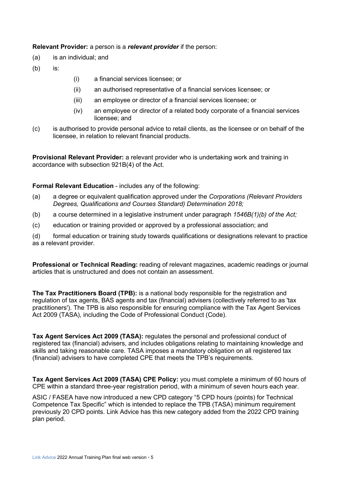**Relevant Provider:** a person is a *relevant provider* if the person:

- (a) is an individual; and
- (b) is:
- (i) a financial services licensee; or
- (ii) an authorised representative of a financial services licensee; or
- (iii) an employee or director of a financial services licensee; or
- (iv) an employee or director of a related body corporate of a financial services licensee; and
- (c) is authorised to provide personal advice to retail clients, as the licensee or on behalf of the licensee, in relation to relevant financial products.

**Provisional Relevant Provider:** a relevant provider who is undertaking work and training in accordance with subsection 921B(4) of the Act.

#### **Formal Relevant Education** - includes any of the following:

- (a) a degree or equivalent qualification approved under the *Corporations (Relevant Providers Degrees, Qualifications and Courses Standard) Determination 2018;*
- (b) a course determined in a legislative instrument under paragraph *1546B(1)(b) of the Act;*
- (c) education or training provided or approved by a professional association; and

(d) formal education or training study towards qualifications or designations relevant to practice as a relevant provider.

**Professional or Technical Reading:** reading of relevant magazines, academic readings or journal articles that is unstructured and does not contain an assessment.

**The Tax Practitioners Board (TPB):** is a national body responsible for the registration and regulation of tax agents, BAS agents and tax (financial) advisers (collectively referred to as 'tax practitioners'). The TPB is also responsible for ensuring compliance with the Tax Agent Services Act 2009 (TASA), including the Code of Professional Conduct (Code).

**Tax Agent Services Act 2009 (TASA):** regulates the personal and professional conduct of registered tax (financial) advisers, and includes obligations relating to maintaining knowledge and skills and taking reasonable care. TASA imposes a mandatory obligation on all registered tax (financial) advisers to have completed CPE that meets the TPB's requirements.

**Tax Agent Services Act 2009 (TASA) CPE Policy:** you must complete a minimum of 60 hours of CPE within a standard three-year registration period, with a minimum of seven hours each year.

ASIC / FASEA have now introduced a new CPD category "5 CPD hours (points) for Technical Competence Tax Specific" which is intended to replace the TPB (TASA) minimum requirement previously 20 CPD points. Link Advice has this new category added from the 2022 CPD training plan period.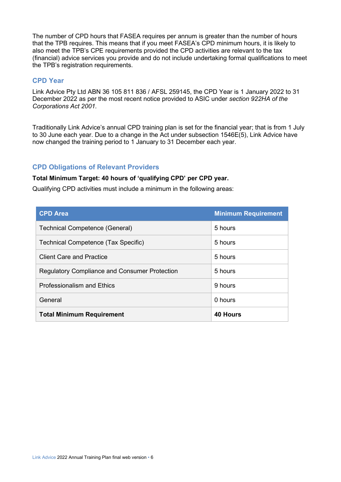The number of CPD hours that FASEA requires per annum is greater than the number of hours that the TPB requires. This means that if you meet FASEA's CPD minimum hours, it is likely to also meet the TPB's CPE requirements provided the CPD activities are relevant to the tax (financial) advice services you provide and do not include undertaking formal qualifications to meet the TPB's registration requirements.

#### **CPD Year**

Link Advice Pty Ltd ABN 36 105 811 836 / AFSL 259145, the CPD Year is 1 January 2022 to 31 December 2022 as per the most recent notice provided to ASIC under *section 922HA of the Corporations Act 2001.*

Traditionally Link Advice's annual CPD training plan is set for the financial year; that is from 1 July to 30 June each year. Due to a change in the Act under subsection 1546E(5), Link Advice have now changed the training period to 1 January to 31 December each year.

#### **CPD Obligations of Relevant Providers**

#### **Total Minimum Target: 40 hours of 'qualifying CPD' per CPD year.**

Qualifying CPD activities must include a minimum in the following areas:

| <b>CPD Area</b>                                      | <b>Minimum Requirement</b> |
|------------------------------------------------------|----------------------------|
| <b>Technical Competence (General)</b>                | 5 hours                    |
| Technical Competence (Tax Specific)                  | 5 hours                    |
| <b>Client Care and Practice</b>                      | 5 hours                    |
| <b>Regulatory Compliance and Consumer Protection</b> | 5 hours                    |
| <b>Professionalism and Ethics</b>                    | 9 hours                    |
| General                                              | 0 hours                    |
| <b>Total Minimum Requirement</b>                     | <b>40 Hours</b>            |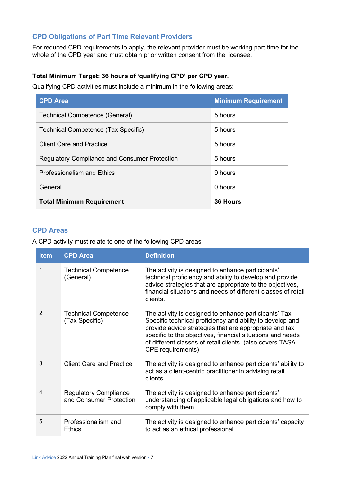#### **CPD Obligations of Part Time Relevant Providers**

For reduced CPD requirements to apply, the relevant provider must be working part-time for the whole of the CPD year and must obtain prior written consent from the licensee.

#### **Total Minimum Target: 36 hours of 'qualifying CPD' per CPD year.**

Qualifying CPD activities must include a minimum in the following areas:

| <b>CPD Area</b>                                      | <b>Minimum Requirement</b> |
|------------------------------------------------------|----------------------------|
| <b>Technical Competence (General)</b>                | 5 hours                    |
| Technical Competence (Tax Specific)                  | 5 hours                    |
| <b>Client Care and Practice</b>                      | 5 hours                    |
| <b>Regulatory Compliance and Consumer Protection</b> | 5 hours                    |
| <b>Professionalism and Ethics</b>                    | 9 hours                    |
| General                                              | 0 hours                    |
| <b>Total Minimum Requirement</b>                     | <b>36 Hours</b>            |

#### **CPD Areas**

A CPD activity must relate to one of the following CPD areas:

| <b>Item</b>    | <b>CPD Area</b>                                         | <b>Definition</b>                                                                                                                                                                                                                                                                                                                   |
|----------------|---------------------------------------------------------|-------------------------------------------------------------------------------------------------------------------------------------------------------------------------------------------------------------------------------------------------------------------------------------------------------------------------------------|
| 1              | <b>Technical Competence</b><br>(General)                | The activity is designed to enhance participants'<br>technical proficiency and ability to develop and provide<br>advice strategies that are appropriate to the objectives,<br>financial situations and needs of different classes of retail<br>clients.                                                                             |
| $\overline{2}$ | <b>Technical Competence</b><br>(Tax Specific)           | The activity is designed to enhance participants' Tax<br>Specific technical proficiency and ability to develop and<br>provide advice strategies that are appropriate and tax<br>specific to the objectives, financial situations and needs<br>of different classes of retail clients. (also covers TASA<br><b>CPE</b> requirements) |
| 3              | <b>Client Care and Practice</b>                         | The activity is designed to enhance participants' ability to<br>act as a client-centric practitioner in advising retail<br>clients.                                                                                                                                                                                                 |
| 4              | <b>Regulatory Compliance</b><br>and Consumer Protection | The activity is designed to enhance participants'<br>understanding of applicable legal obligations and how to<br>comply with them.                                                                                                                                                                                                  |
| 5              | Professionalism and<br><b>Ethics</b>                    | The activity is designed to enhance participants' capacity<br>to act as an ethical professional.                                                                                                                                                                                                                                    |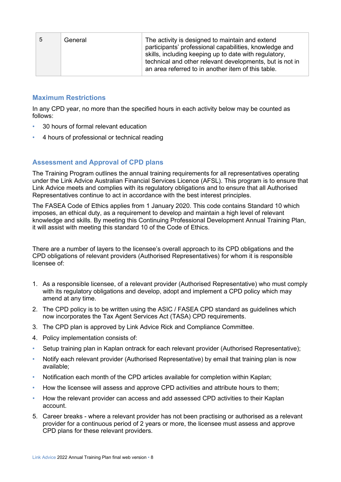| .5 | General | The activity is designed to maintain and extend<br>participants' professional capabilities, knowledge and<br>skills, including keeping up to date with regulatory,<br>technical and other relevant developments, but is not in<br>an area referred to in another item of this table. |
|----|---------|--------------------------------------------------------------------------------------------------------------------------------------------------------------------------------------------------------------------------------------------------------------------------------------|
|    |         |                                                                                                                                                                                                                                                                                      |

#### **Maximum Restrictions**

In any CPD year, no more than the specified hours in each activity below may be counted as follows:

- 30 hours of formal relevant education
- 4 hours of professional or technical reading

#### **Assessment and Approval of CPD plans**

The Training Program outlines the annual training requirements for all representatives operating under the Link Advice Australian Financial Services Licence (AFSL). This program is to ensure that Link Advice meets and complies with its regulatory obligations and to ensure that all Authorised Representatives continue to act in accordance with the best interest principles.

The FASEA Code of Ethics applies from 1 January 2020. This code contains Standard 10 which imposes, an ethical duty, as a requirement to develop and maintain a high level of relevant knowledge and skills. By meeting this Continuing Professional Development Annual Training Plan, it will assist with meeting this standard 10 of the Code of Ethics.

There are a number of layers to the licensee's overall approach to its CPD obligations and the CPD obligations of relevant providers (Authorised Representatives) for whom it is responsible licensee of:

- 1. As a responsible licensee, of a relevant provider (Authorised Representative) who must comply with its regulatory obligations and develop, adopt and implement a CPD policy which may amend at any time.
- 2. The CPD policy is to be written using the ASIC / FASEA CPD standard as guidelines which now incorporates the Tax Agent Services Act (TASA) CPD requirements.
- 3. The CPD plan is approved by Link Advice Rick and Compliance Committee.
- 4. Policy implementation consists of:
- Setup training plan in Kaplan ontrack for each relevant provider (Authorised Representative);
- Notify each relevant provider (Authorised Representative) by email that training plan is now available;
- Notification each month of the CPD articles available for completion within Kaplan;
- How the licensee will assess and approve CPD activities and attribute hours to them;
- How the relevant provider can access and add assessed CPD activities to their Kaplan account.
- 5. Career breaks where a relevant provider has not been practising or authorised as a relevant provider for a continuous period of 2 years or more, the licensee must assess and approve CPD plans for these relevant providers.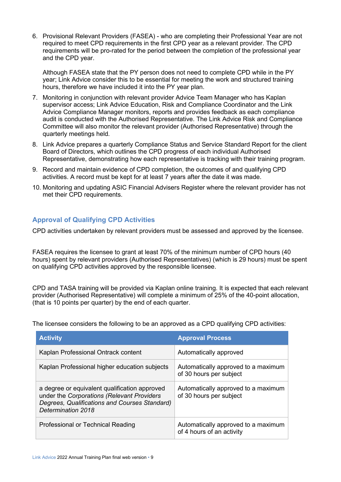6. Provisional Relevant Providers (FASEA) - who are completing their Professional Year are not required to meet CPD requirements in the first CPD year as a relevant provider. The CPD requirements will be pro-rated for the period between the completion of the professional year and the CPD year.

Although FASEA state that the PY person does not need to complete CPD while in the PY year; Link Advice consider this to be essential for meeting the work and structured training hours, therefore we have included it into the PY year plan.

- 7. Monitoring in conjunction with relevant provider Advice Team Manager who has Kaplan supervisor access; Link Advice Education, Risk and Compliance Coordinator and the Link Advice Compliance Manager monitors, reports and provides feedback as each compliance audit is conducted with the Authorised Representative. The Link Advice Risk and Compliance Committee will also monitor the relevant provider (Authorised Representative) through the quarterly meetings held.
- 8. Link Advice prepares a quarterly Compliance Status and Service Standard Report for the client Board of Directors, which outlines the CPD progress of each individual Authorised Representative, demonstrating how each representative is tracking with their training program.
- 9. Record and maintain evidence of CPD completion, the outcomes of and qualifying CPD activities. A record must be kept for at least 7 years after the date it was made.
- 10. Monitoring and updating ASIC Financial Advisers Register where the relevant provider has not met their CPD requirements.

#### **Approval of Qualifying CPD Activities**

CPD activities undertaken by relevant providers must be assessed and approved by the licensee.

FASEA requires the licensee to grant at least 70% of the minimum number of CPD hours (40 hours) spent by relevant providers (Authorised Representatives) (which is 29 hours) must be spent on qualifying CPD activities approved by the responsible licensee.

CPD and TASA training will be provided via Kaplan online training. It is expected that each relevant provider (Authorised Representative) will complete a minimum of 25% of the 40-point allocation, (that is 10 points per quarter) by the end of each quarter.

The licensee considers the following to be an approved as a CPD qualifying CPD activities:

| <b>Activity</b>                                                                                                                                                    | <b>Approval Process</b>                                          |  |
|--------------------------------------------------------------------------------------------------------------------------------------------------------------------|------------------------------------------------------------------|--|
| Kaplan Professional Ontrack content                                                                                                                                | Automatically approved                                           |  |
| Kaplan Professional higher education subjects                                                                                                                      | Automatically approved to a maximum<br>of 30 hours per subject   |  |
| a degree or equivalent qualification approved<br>under the Corporations (Relevant Providers<br>Degrees, Qualifications and Courses Standard)<br>Determination 2018 | Automatically approved to a maximum<br>of 30 hours per subject   |  |
| Professional or Technical Reading                                                                                                                                  | Automatically approved to a maximum<br>of 4 hours of an activity |  |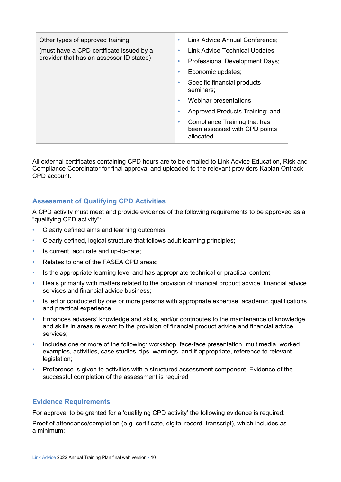| Other types of approved training         | Link Advice Annual Conference;<br>۰                                              |
|------------------------------------------|----------------------------------------------------------------------------------|
| (must have a CPD certificate issued by a | Link Advice Technical Updates;<br>$\bullet$                                      |
| provider that has an assessor ID stated) | Professional Development Days;<br>$\bullet$                                      |
|                                          | Economic updates;<br>٠                                                           |
|                                          | Specific financial products<br>٠<br>seminars;                                    |
|                                          | Webinar presentations;<br>٠                                                      |
|                                          | Approved Products Training; and<br>٠                                             |
|                                          | Compliance Training that has<br>۰<br>been assessed with CPD points<br>allocated. |

All external certificates containing CPD hours are to be emailed to Link Advice Education, Risk and Compliance Coordinator for final approval and uploaded to the relevant providers Kaplan Ontrack CPD account.

#### **Assessment of Qualifying CPD Activities**

A CPD activity must meet and provide evidence of the following requirements to be approved as a "qualifying CPD activity":

- Clearly defined aims and learning outcomes;
- Clearly defined, logical structure that follows adult learning principles;
- Is current, accurate and up-to-date;
- Relates to one of the FASEA CPD areas;
- Is the appropriate learning level and has appropriate technical or practical content;
- Deals primarily with matters related to the provision of financial product advice, financial advice services and financial advice business;
- Is led or conducted by one or more persons with appropriate expertise, academic qualifications and practical experience;
- Enhances advisers' knowledge and skills, and/or contributes to the maintenance of knowledge and skills in areas relevant to the provision of financial product advice and financial advice services;
- Includes one or more of the following: workshop, face-face presentation, multimedia, worked examples, activities, case studies, tips, warnings, and if appropriate, reference to relevant legislation;
- Preference is given to activities with a structured assessment component. Evidence of the successful completion of the assessment is required

#### **Evidence Requirements**

For approval to be granted for a 'qualifying CPD activity' the following evidence is required:

Proof of attendance/completion (e.g. certificate, digital record, transcript), which includes as a minimum: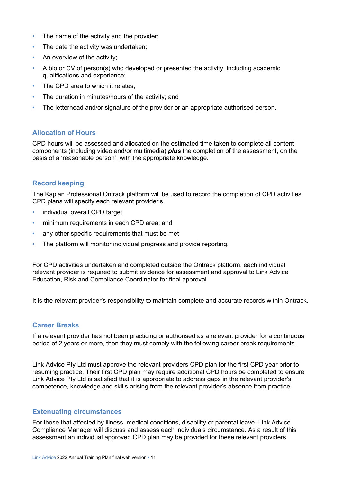- The name of the activity and the provider:
- The date the activity was undertaken:
- An overview of the activity;
- A bio or CV of person(s) who developed or presented the activity, including academic qualifications and experience;
- The CPD area to which it relates;
- The duration in minutes/hours of the activity; and
- The letterhead and/or signature of the provider or an appropriate authorised person.

#### **Allocation of Hours**

CPD hours will be assessed and allocated on the estimated time taken to complete all content components (including video and/or multimedia) *plus* the completion of the assessment, on the basis of a 'reasonable person', with the appropriate knowledge.

#### **Record keeping**

The Kaplan Professional Ontrack platform will be used to record the completion of CPD activities. CPD plans will specify each relevant provider's:

- individual overall CPD target:
- minimum requirements in each CPD area; and
- any other specific requirements that must be met
- The platform will monitor individual progress and provide reporting.

For CPD activities undertaken and completed outside the Ontrack platform, each individual relevant provider is required to submit evidence for assessment and approval to Link Advice Education, Risk and Compliance Coordinator for final approval.

It is the relevant provider's responsibility to maintain complete and accurate records within Ontrack.

#### **Career Breaks**

If a relevant provider has not been practicing or authorised as a relevant provider for a continuous period of 2 years or more, then they must comply with the following career break requirements.

Link Advice Pty Ltd must approve the relevant providers CPD plan for the first CPD year prior to resuming practice. Their first CPD plan may require additional CPD hours be completed to ensure Link Advice Pty Ltd is satisfied that it is appropriate to address gaps in the relevant provider's competence, knowledge and skills arising from the relevant provider's absence from practice.

#### **Extenuating circumstances**

For those that affected by illness, medical conditions, disability or parental leave, Link Advice Compliance Manager will discuss and assess each individuals circumstance. As a result of this assessment an individual approved CPD plan may be provided for these relevant providers.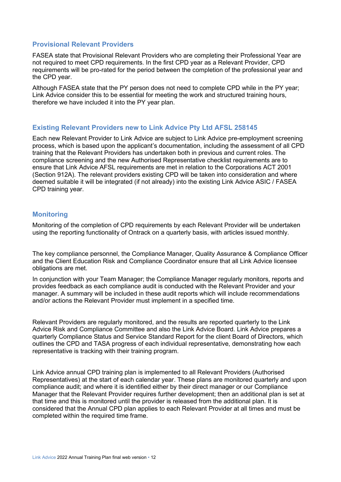#### **Provisional Relevant Providers**

FASEA state that Provisional Relevant Providers who are completing their Professional Year are not required to meet CPD requirements. In the first CPD year as a Relevant Provider, CPD requirements will be pro-rated for the period between the completion of the professional year and the CPD year.

Although FASEA state that the PY person does not need to complete CPD while in the PY year; Link Advice consider this to be essential for meeting the work and structured training hours, therefore we have included it into the PY year plan.

#### **Existing Relevant Providers new to Link Advice Pty Ltd AFSL 258145**

Each new Relevant Provider to Link Advice are subject to Link Advice pre-employment screening process, which is based upon the applicant's documentation, including the assessment of all CPD training that the Relevant Providers has undertaken both in previous and current roles. The compliance screening and the new Authorised Representative checklist requirements are to ensure that Link Advice AFSL requirements are met in relation to the Corporations ACT 2001 (Section 912A). The relevant providers existing CPD will be taken into consideration and where deemed suitable it will be integrated (if not already) into the existing Link Advice ASIC / FASEA CPD training year.

#### **Monitoring**

Monitoring of the completion of CPD requirements by each Relevant Provider will be undertaken using the reporting functionality of Ontrack on a quarterly basis, with articles issued monthly.

The key compliance personnel, the Compliance Manager, Quality Assurance & Compliance Officer and the Client Education Risk and Compliance Coordinator ensure that all Link Advice licensee obligations are met.

In conjunction with your Team Manager; the Compliance Manager regularly monitors, reports and provides feedback as each compliance audit is conducted with the Relevant Provider and your manager. A summary will be included in these audit reports which will include recommendations and/or actions the Relevant Provider must implement in a specified time.

Relevant Providers are regularly monitored, and the results are reported quarterly to the Link Advice Risk and Compliance Committee and also the Link Advice Board. Link Advice prepares a quarterly Compliance Status and Service Standard Report for the client Board of Directors, which outlines the CPD and TASA progress of each individual representative, demonstrating how each representative is tracking with their training program.

Link Advice annual CPD training plan is implemented to all Relevant Providers (Authorised Representatives) at the start of each calendar year. These plans are monitored quarterly and upon compliance audit; and where it is identified either by their direct manager or our Compliance Manager that the Relevant Provider requires further development; then an additional plan is set at that time and this is monitored until the provider is released from the additional plan. It is considered that the Annual CPD plan applies to each Relevant Provider at all times and must be completed within the required time frame.